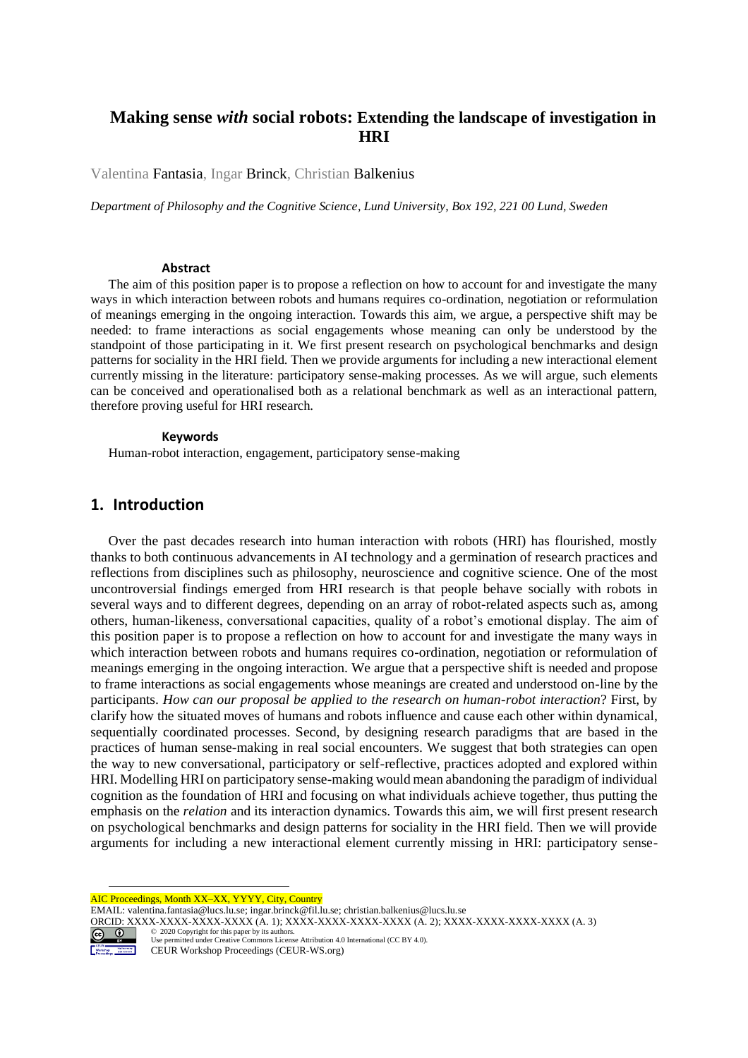# **Making sense** *with* **social robots: Extending the landscape of investigation in HRI**

Valentina Fantasia, Ingar Brinck, Christian Balkenius

*Department of Philosophy and the Cognitive Science, Lund University, Box 192, 221 00 Lund, Sweden*

### **Abstract**

The aim of this position paper is to propose a reflection on how to account for and investigate the many ways in which interaction between robots and humans requires co-ordination, negotiation or reformulation of meanings emerging in the ongoing interaction. Towards this aim, we argue, a perspective shift may be needed: to frame interactions as social engagements whose meaning can only be understood by the standpoint of those participating in it. We first present research on psychological benchmarks and design patterns for sociality in the HRI field. Then we provide arguments for including a new interactional element currently missing in the literature: participatory sense-making processes. As we will argue, such elements can be conceived and operationalised both as a relational benchmark as well as an interactional pattern, therefore proving useful for HRI research.

#### **Keywords**

Human-robot interaction, engagement, participatory sense-making

## **1. Introduction**

Over the past decades research into human interaction with robots (HRI) has flourished, mostly thanks to both continuous advancements in AI technology and a germination of research practices and reflections from disciplines such as philosophy, neuroscience and cognitive science. One of the most uncontroversial findings emerged from HRI research is that people behave socially with robots in several ways and to different degrees, depending on an array of robot-related aspects such as, among others, human-likeness, conversational capacities, quality of a robot's emotional display. The aim of this position paper is to propose a reflection on how to account for and investigate the many ways in which interaction between robots and humans requires co-ordination, negotiation or reformulation of meanings emerging in the ongoing interaction. We argue that a perspective shift is needed and propose to frame interactions as social engagements whose meanings are created and understood on-line by the participants. *How can our proposal be applied to the research on human-robot interaction*? First, by clarify how the situated moves of humans and robots influence and cause each other within dynamical, sequentially coordinated processes. Second, by designing research paradigms that are based in the practices of human sense-making in real social encounters. We suggest that both strategies can open the way to new conversational, participatory or self-reflective, practices adopted and explored within HRI. Modelling HRI on participatory sense-making would mean abandoning the paradigm of individual cognition as the foundation of HRI and focusing on what individuals achieve together, thus putting the emphasis on the *relation* and its interaction dynamics. Towards this aim, we will first present research on psychological benchmarks and design patterns for sociality in the HRI field. Then we will provide arguments for including a new interactional element currently missing in HRI: participatory sense-

AIC Proceedings, Month XX–XX, YYYY, City, Country

EMAIL: valentina.fantasia@lucs.lu.se; ingar.brinck@fil.lu.se; christian.balkenius@lucs.lu.se

ORCID: XXXX-XXXX-XXXX-XXXX-XXXX (A. 1); XXXX-XXXX-XXXX-XXXX-XXXX (A. 2); XXXX-XXXX-XXXX-XXXX (A. 3)<br>  $\bigodot$   $\bigodot$   $\bigodot$   $\bigodot$   $\bigodot$   $\bigodot$   $\bigodot$   $\bigodot$   $\bigodot$   $\bigodot$   $\bigodot$   $\bigodot$   $\bigodot$   $\bigodot$   $\bigodot$   $\bigodot$ 



©️ 2020 Copyright for this paper by its authors. Use permitted under Creative Commons License Attribution 4.0 International (CC BY 4.0).

CEUR Workshop Proceedings (CEUR-WS.org)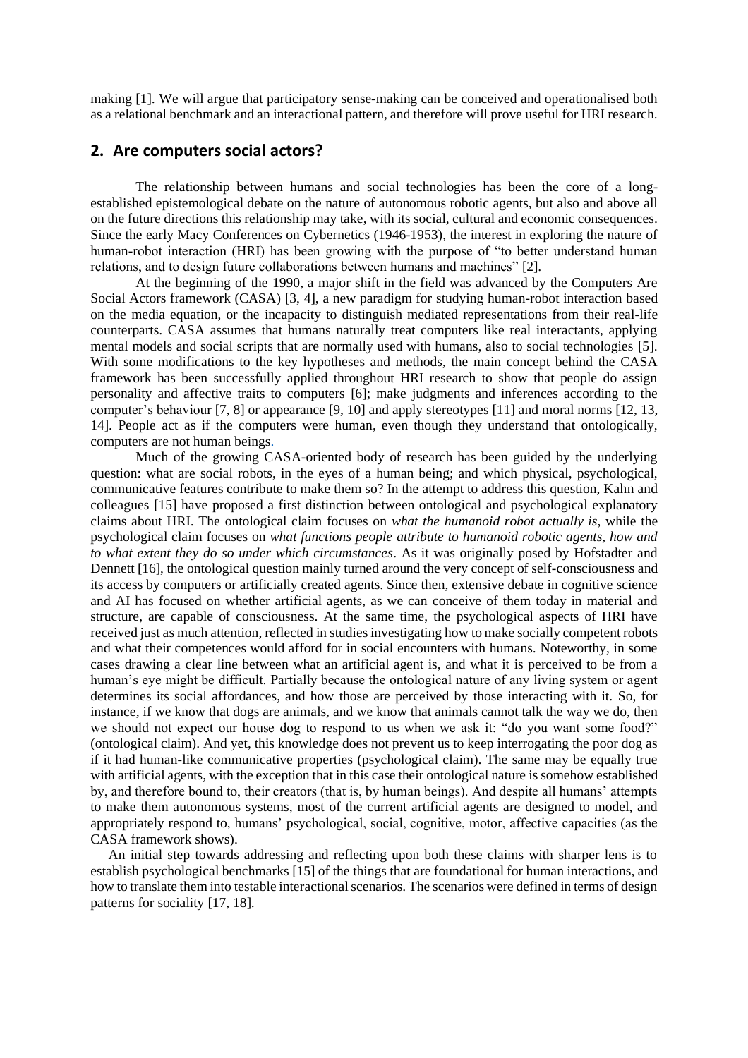making [1]. We will argue that participatory sense-making can be conceived and operationalised both as a relational benchmark and an interactional pattern, and therefore will prove useful for HRI research.

## **2. Are computers social actors?**

The relationship between humans and social technologies has been the core of a longestablished epistemological debate on the nature of autonomous robotic agents, but also and above all on the future directions this relationship may take, with its social, cultural and economic consequences. Since the early Macy Conferences on Cybernetics (1946-1953), the interest in exploring the nature of human-robot interaction (HRI) has been growing with the purpose of "to better understand human relations, and to design future collaborations between humans and machines" [2].

At the beginning of the 1990, a major shift in the field was advanced by the Computers Are Social Actors framework (CASA) [3, 4], a new paradigm for studying human-robot interaction based on the media equation, or the incapacity to distinguish mediated representations from their real-life counterparts. CASA assumes that humans naturally treat computers like real interactants, applying mental models and social scripts that are normally used with humans, also to social technologies [5]. With some modifications to the key hypotheses and methods, the main concept behind the CASA framework has been successfully applied throughout HRI research to show that people do assign personality and affective traits to computers [6]; make judgments and inferences according to the computer's behaviour [7, 8] or appearance [9, 10] and apply stereotypes [11] and moral norms [12, 13, 14]. People act as if the computers were human, even though they understand that ontologically, computers are not human beings.

Much of the growing CASA-oriented body of research has been guided by the underlying question: what are social robots, in the eyes of a human being; and which physical, psychological, communicative features contribute to make them so? In the attempt to address this question, Kahn and colleagues [15] have proposed a first distinction between ontological and psychological explanatory claims about HRI. The ontological claim focuses on *what the humanoid robot actually is*, while the psychological claim focuses on *what functions people attribute to humanoid robotic agents, how and to what extent they do so under which circumstances*. As it was originally posed by Hofstadter and Dennett [16], the ontological question mainly turned around the very concept of self-consciousness and its access by computers or artificially created agents. Since then, extensive debate in cognitive science and AI has focused on whether artificial agents, as we can conceive of them today in material and structure, are capable of consciousness. At the same time, the psychological aspects of HRI have received just as much attention, reflected in studies investigating how to make socially competent robots and what their competences would afford for in social encounters with humans. Noteworthy, in some cases drawing a clear line between what an artificial agent is, and what it is perceived to be from a human's eye might be difficult. Partially because the ontological nature of any living system or agent determines its social affordances, and how those are perceived by those interacting with it. So, for instance, if we know that dogs are animals, and we know that animals cannot talk the way we do, then we should not expect our house dog to respond to us when we ask it: "do you want some food?" (ontological claim). And yet, this knowledge does not prevent us to keep interrogating the poor dog as if it had human-like communicative properties (psychological claim). The same may be equally true with artificial agents, with the exception that in this case their ontological nature is somehow established by, and therefore bound to, their creators (that is, by human beings). And despite all humans' attempts to make them autonomous systems, most of the current artificial agents are designed to model, and appropriately respond to, humans' psychological, social, cognitive, motor, affective capacities (as the CASA framework shows).

An initial step towards addressing and reflecting upon both these claims with sharper lens is to establish psychological benchmarks [15] of the things that are foundational for human interactions, and how to translate them into testable interactional scenarios. The scenarios were defined in terms of design patterns for sociality [17, 18].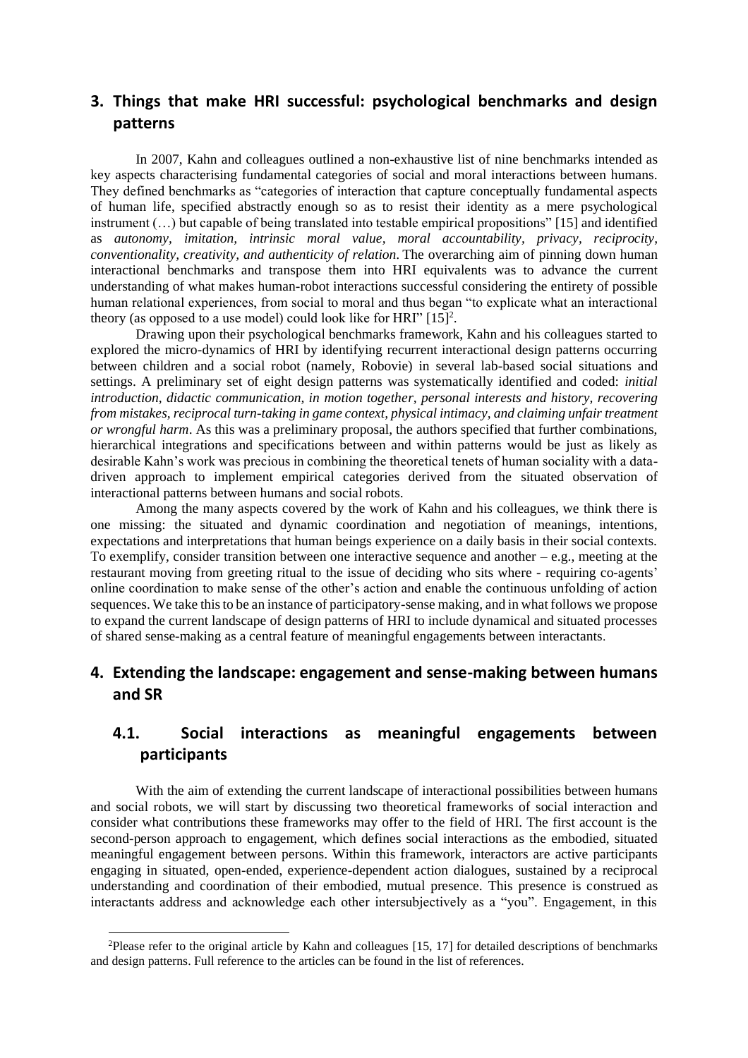## **3. Things that make HRI successful: psychological benchmarks and design patterns**

In 2007, Kahn and colleagues outlined a non-exhaustive list of nine benchmarks intended as key aspects characterising fundamental categories of social and moral interactions between humans. They defined benchmarks as "categories of interaction that capture conceptually fundamental aspects of human life, specified abstractly enough so as to resist their identity as a mere psychological instrument (…) but capable of being translated into testable empirical propositions" [15] and identified as *autonomy, imitation, intrinsic moral value, moral accountability, privacy, reciprocity, conventionality, creativity, and authenticity of relation.* The overarching aim of pinning down human interactional benchmarks and transpose them into HRI equivalents was to advance the current understanding of what makes human-robot interactions successful considering the entirety of possible human relational experiences, from social to moral and thus began "to explicate what an interactional theory (as opposed to a use model) could look like for HRI"  $[15]^2$ .

Drawing upon their psychological benchmarks framework, Kahn and his colleagues started to explored the micro-dynamics of HRI by identifying recurrent interactional design patterns occurring between children and a social robot (namely, Robovie) in several lab-based social situations and settings. A preliminary set of eight design patterns was systematically identified and coded: *initial introduction, didactic communication, in motion together, personal interests and history, recovering from mistakes, reciprocal turn-taking in game context, physical intimacy, and claiming unfair treatment or wrongful harm*. As this was a preliminary proposal, the authors specified that further combinations, hierarchical integrations and specifications between and within patterns would be just as likely as desirable Kahn's work was precious in combining the theoretical tenets of human sociality with a datadriven approach to implement empirical categories derived from the situated observation of interactional patterns between humans and social robots.

Among the many aspects covered by the work of Kahn and his colleagues, we think there is one missing: the situated and dynamic coordination and negotiation of meanings, intentions, expectations and interpretations that human beings experience on a daily basis in their social contexts. To exemplify, consider transition between one interactive sequence and another – e.g., meeting at the restaurant moving from greeting ritual to the issue of deciding who sits where - requiring co-agents' online coordination to make sense of the other's action and enable the continuous unfolding of action sequences. We take this to be an instance of participatory-sense making, and in what follows we propose to expand the current landscape of design patterns of HRI to include dynamical and situated processes of shared sense-making as a central feature of meaningful engagements between interactants.

# **4. Extending the landscape: engagement and sense-making between humans and SR**

# **4.1. Social interactions as meaningful engagements between participants**

With the aim of extending the current landscape of interactional possibilities between humans and social robots, we will start by discussing two theoretical frameworks of social interaction and consider what contributions these frameworks may offer to the field of HRI. The first account is the second-person approach to engagement, which defines social interactions as the embodied, situated meaningful engagement between persons. Within this framework, interactors are active participants engaging in situated, open-ended, experience-dependent action dialogues, sustained by a reciprocal understanding and coordination of their embodied, mutual presence. This presence is construed as interactants address and acknowledge each other intersubjectively as a "you". Engagement, in this

<sup>2</sup>Please refer to the original article by Kahn and colleagues [15, 17] for detailed descriptions of benchmarks and design patterns. Full reference to the articles can be found in the list of references.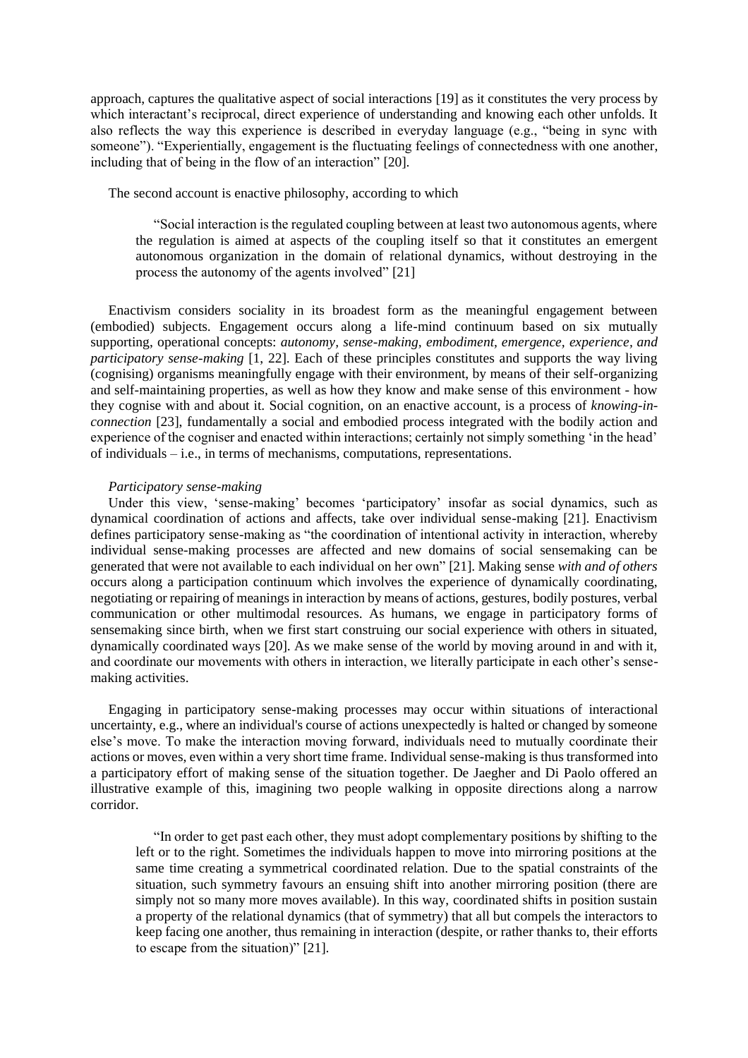approach, captures the qualitative aspect of social interactions [19] as it constitutes the very process by which interactant's reciprocal, direct experience of understanding and knowing each other unfolds. It also reflects the way this experience is described in everyday language (e.g., "being in sync with someone"). "Experientially, engagement is the fluctuating feelings of connectedness with one another, including that of being in the flow of an interaction" [20].

The second account is enactive philosophy, according to which

"Social interaction is the regulated coupling between at least two autonomous agents, where the regulation is aimed at aspects of the coupling itself so that it constitutes an emergent autonomous organization in the domain of relational dynamics, without destroying in the process the autonomy of the agents involved" [21]

Enactivism considers sociality in its broadest form as the meaningful engagement between (embodied) subjects. Engagement occurs along a life-mind continuum based on six mutually supporting, operational concepts: *autonomy, sense-making, embodiment, emergence, experience, and participatory sense-making* [1, 22]. Each of these principles constitutes and supports the way living (cognising) organisms meaningfully engage with their environment, by means of their self-organizing and self-maintaining properties, as well as how they know and make sense of this environment - how they cognise with and about it. Social cognition, on an enactive account, is a process of *knowing-inconnection* [23], fundamentally a social and embodied process integrated with the bodily action and experience of the cogniser and enacted within interactions; certainly not simply something 'in the head' of individuals – i.e., in terms of mechanisms, computations, representations.

### *Participatory sense-making*

Under this view, 'sense-making' becomes 'participatory' insofar as social dynamics, such as dynamical coordination of actions and affects, take over individual sense-making [21]. Enactivism defines participatory sense-making as "the coordination of intentional activity in interaction, whereby individual sense-making processes are affected and new domains of social sensemaking can be generated that were not available to each individual on her own" [21]. Making sense *with and of others* occurs along a participation continuum which involves the experience of dynamically coordinating, negotiating or repairing of meanings in interaction by means of actions, gestures, bodily postures, verbal communication or other multimodal resources. As humans, we engage in participatory forms of sensemaking since birth, when we first start construing our social experience with others in situated, dynamically coordinated ways [20]. As we make sense of the world by moving around in and with it, and coordinate our movements with others in interaction, we literally participate in each other's sensemaking activities.

Engaging in participatory sense-making processes may occur within situations of interactional uncertainty, e.g., where an individual's course of actions unexpectedly is halted or changed by someone else's move. To make the interaction moving forward, individuals need to mutually coordinate their actions or moves, even within a very short time frame. Individual sense-making is thus transformed into a participatory effort of making sense of the situation together. De Jaegher and Di Paolo offered an illustrative example of this, imagining two people walking in opposite directions along a narrow corridor.

"In order to get past each other, they must adopt complementary positions by shifting to the left or to the right. Sometimes the individuals happen to move into mirroring positions at the same time creating a symmetrical coordinated relation. Due to the spatial constraints of the situation, such symmetry favours an ensuing shift into another mirroring position (there are simply not so many more moves available). In this way, coordinated shifts in position sustain a property of the relational dynamics (that of symmetry) that all but compels the interactors to keep facing one another, thus remaining in interaction (despite, or rather thanks to, their efforts to escape from the situation)" [21].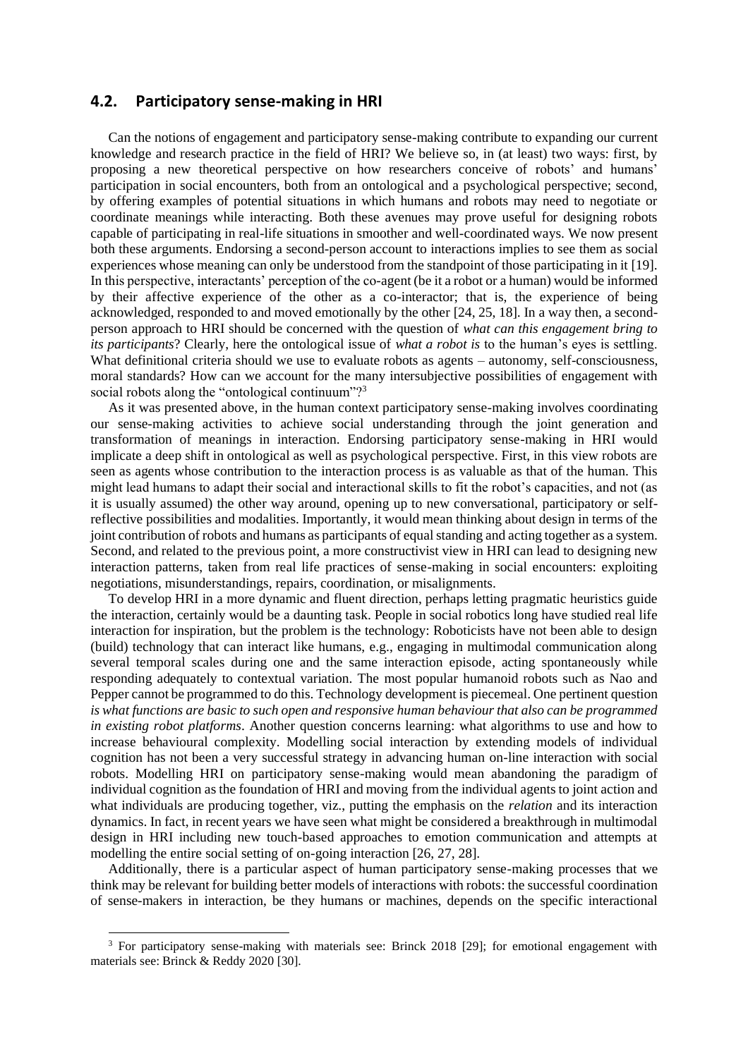### **4.2. Participatory sense-making in HRI**

Can the notions of engagement and participatory sense-making contribute to expanding our current knowledge and research practice in the field of HRI? We believe so, in (at least) two ways: first, by proposing a new theoretical perspective on how researchers conceive of robots' and humans' participation in social encounters, both from an ontological and a psychological perspective; second, by offering examples of potential situations in which humans and robots may need to negotiate or coordinate meanings while interacting. Both these avenues may prove useful for designing robots capable of participating in real-life situations in smoother and well-coordinated ways. We now present both these arguments. Endorsing a second-person account to interactions implies to see them as social experiences whose meaning can only be understood from the standpoint of those participating in it [19]. In this perspective, interactants' perception of the co-agent (be it a robot or a human) would be informed by their affective experience of the other as a co-interactor; that is, the experience of being acknowledged, responded to and moved emotionally by the other [24, 25, 18]. In a way then, a secondperson approach to HRI should be concerned with the question of *what can this engagement bring to its participants*? Clearly, here the ontological issue of *what a robot is* to the human's eyes is settling. What definitional criteria should we use to evaluate robots as agents – autonomy, self-consciousness, moral standards? How can we account for the many intersubjective possibilities of engagement with social robots along the "ontological continuum"?<sup>3</sup>

As it was presented above, in the human context participatory sense-making involves coordinating our sense-making activities to achieve social understanding through the joint generation and transformation of meanings in interaction. Endorsing participatory sense-making in HRI would implicate a deep shift in ontological as well as psychological perspective. First, in this view robots are seen as agents whose contribution to the interaction process is as valuable as that of the human. This might lead humans to adapt their social and interactional skills to fit the robot's capacities, and not (as it is usually assumed) the other way around, opening up to new conversational, participatory or selfreflective possibilities and modalities. Importantly, it would mean thinking about design in terms of the joint contribution of robots and humans as participants of equal standing and acting together as a system. Second, and related to the previous point, a more constructivist view in HRI can lead to designing new interaction patterns, taken from real life practices of sense-making in social encounters: exploiting negotiations, misunderstandings, repairs, coordination, or misalignments.

To develop HRI in a more dynamic and fluent direction, perhaps letting pragmatic heuristics guide the interaction, certainly would be a daunting task. People in social robotics long have studied real life interaction for inspiration, but the problem is the technology: Roboticists have not been able to design (build) technology that can interact like humans, e.g., engaging in multimodal communication along several temporal scales during one and the same interaction episode, acting spontaneously while responding adequately to contextual variation. The most popular humanoid robots such as Nao and Pepper cannot be programmed to do this. Technology development is piecemeal. One pertinent question *is what functions are basic to such open and responsive human behaviour that also can be programmed in existing robot platforms*. Another question concerns learning: what algorithms to use and how to increase behavioural complexity. Modelling social interaction by extending models of individual cognition has not been a very successful strategy in advancing human on-line interaction with social robots. Modelling HRI on participatory sense-making would mean abandoning the paradigm of individual cognition as the foundation of HRI and moving from the individual agents to joint action and what individuals are producing together, viz., putting the emphasis on the *relation* and its interaction dynamics. In fact, in recent years we have seen what might be considered a breakthrough in multimodal design in HRI including new touch-based approaches to emotion communication and attempts at modelling the entire social setting of on-going interaction [26, 27, 28].

Additionally, there is a particular aspect of human participatory sense-making processes that we think may be relevant for building better models of interactions with robots: the successful coordination of sense-makers in interaction, be they humans or machines, depends on the specific interactional

<sup>3</sup> For participatory sense-making with materials see: Brinck 2018 [29]; for emotional engagement with materials see: Brinck & Reddy 2020 [30].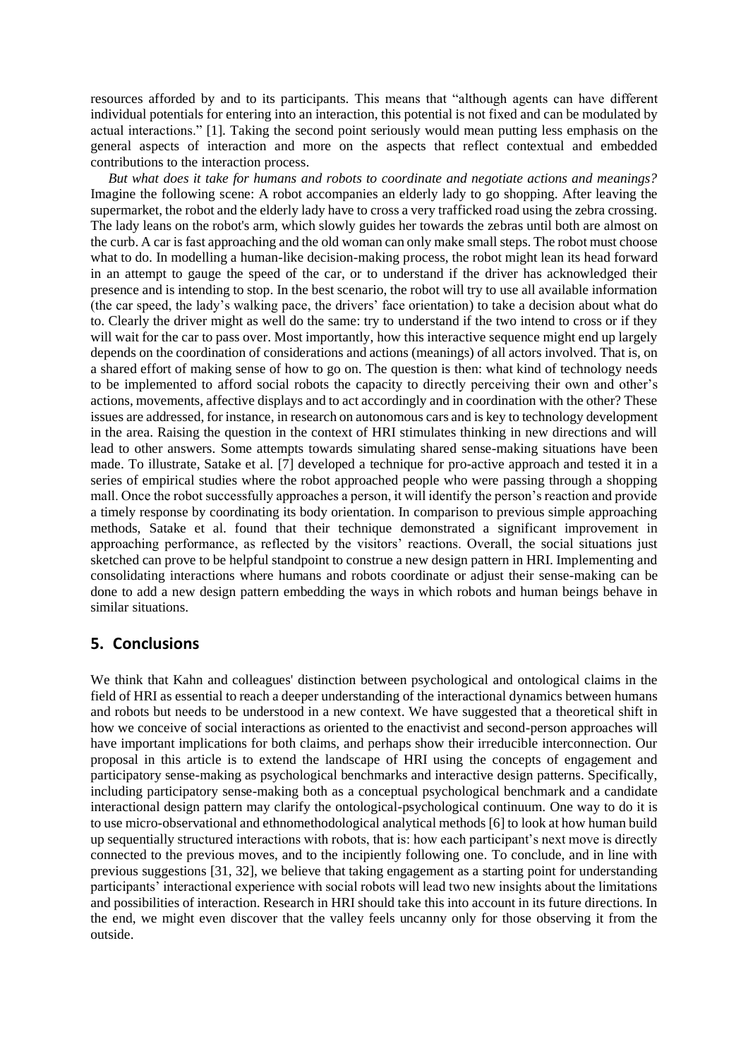resources afforded by and to its participants. This means that "although agents can have different individual potentials for entering into an interaction, this potential is not fixed and can be modulated by actual interactions." [1]. Taking the second point seriously would mean putting less emphasis on the general aspects of interaction and more on the aspects that reflect contextual and embedded contributions to the interaction process.

*But what does it take for humans and robots to coordinate and negotiate actions and meanings?* Imagine the following scene: A robot accompanies an elderly lady to go shopping. After leaving the supermarket, the robot and the elderly lady have to cross a very trafficked road using the zebra crossing. The lady leans on the robot's arm, which slowly guides her towards the zebras until both are almost on the curb. A car is fast approaching and the old woman can only make small steps. The robot must choose what to do. In modelling a human-like decision-making process, the robot might lean its head forward in an attempt to gauge the speed of the car, or to understand if the driver has acknowledged their presence and is intending to stop. In the best scenario, the robot will try to use all available information (the car speed, the lady's walking pace, the drivers' face orientation) to take a decision about what do to. Clearly the driver might as well do the same: try to understand if the two intend to cross or if they will wait for the car to pass over. Most importantly, how this interactive sequence might end up largely depends on the coordination of considerations and actions (meanings) of all actors involved. That is, on a shared effort of making sense of how to go on. The question is then: what kind of technology needs to be implemented to afford social robots the capacity to directly perceiving their own and other's actions, movements, affective displays and to act accordingly and in coordination with the other? These issues are addressed, for instance, in research on autonomous cars and is key to technology development in the area. Raising the question in the context of HRI stimulates thinking in new directions and will lead to other answers. Some attempts towards simulating shared sense-making situations have been made. To illustrate, Satake et al. [7] developed a technique for pro-active approach and tested it in a series of empirical studies where the robot approached people who were passing through a shopping mall. Once the robot successfully approaches a person, it will identify the person's reaction and provide a timely response by coordinating its body orientation. In comparison to previous simple approaching methods, Satake et al. found that their technique demonstrated a significant improvement in approaching performance, as reflected by the visitors' reactions. Overall, the social situations just sketched can prove to be helpful standpoint to construe a new design pattern in HRI. Implementing and consolidating interactions where humans and robots coordinate or adjust their sense-making can be done to add a new design pattern embedding the ways in which robots and human beings behave in similar situations.

## **5. Conclusions**

We think that Kahn and colleagues' distinction between psychological and ontological claims in the field of HRI as essential to reach a deeper understanding of the interactional dynamics between humans and robots but needs to be understood in a new context. We have suggested that a theoretical shift in how we conceive of social interactions as oriented to the enactivist and second-person approaches will have important implications for both claims, and perhaps show their irreducible interconnection. Our proposal in this article is to extend the landscape of HRI using the concepts of engagement and participatory sense-making as psychological benchmarks and interactive design patterns. Specifically, including participatory sense-making both as a conceptual psychological benchmark and a candidate interactional design pattern may clarify the ontological-psychological continuum. One way to do it is to use micro-observational and ethnomethodological analytical methods [6] to look at how human build up sequentially structured interactions with robots, that is: how each participant's next move is directly connected to the previous moves, and to the incipiently following one. To conclude, and in line with previous suggestions [31, 32], we believe that taking engagement as a starting point for understanding participants' interactional experience with social robots will lead two new insights about the limitations and possibilities of interaction. Research in HRI should take this into account in its future directions. In the end, we might even discover that the valley feels uncanny only for those observing it from the outside.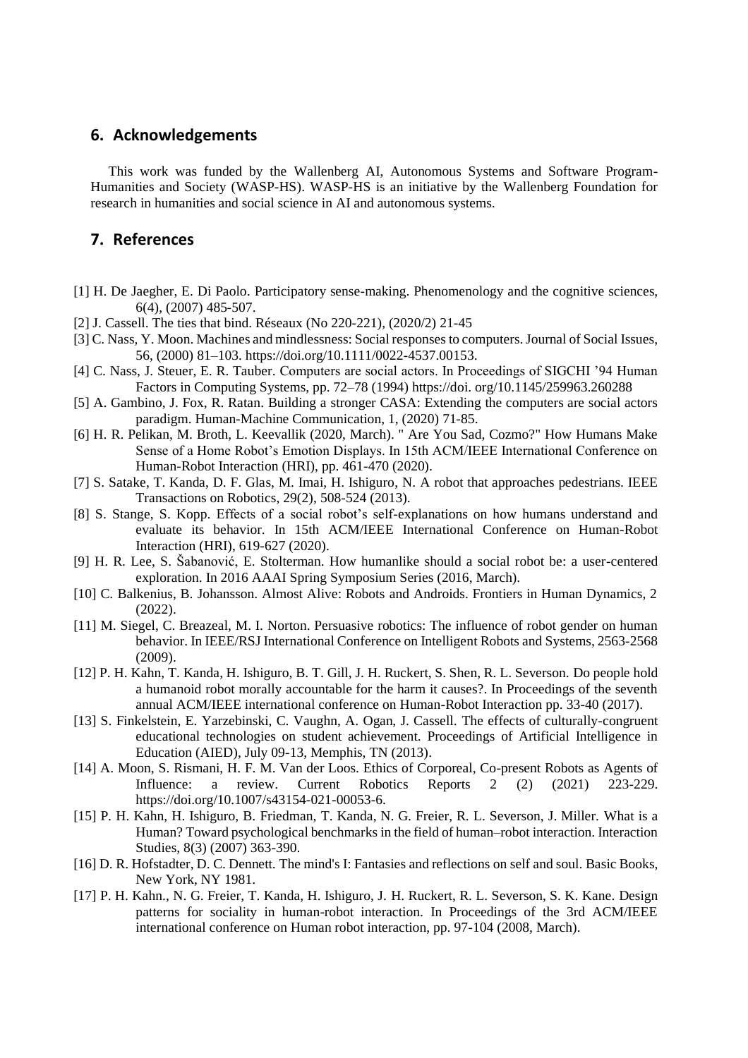## **6. Acknowledgements**

This work was funded by the Wallenberg AI, Autonomous Systems and Software Program-Humanities and Society (WASP-HS). WASP-HS is an initiative by the Wallenberg Foundation for research in humanities and social science in AI and autonomous systems.

## **7. References**

- [1] H. De Jaegher, E. Di Paolo. Participatory sense-making. Phenomenology and the cognitive sciences, 6(4), (2007) 485-507.
- [2] J. Cassell. The ties that bind. Réseaux (No 220-221), (2020/2) 21-45
- [3] C. Nass, Y. Moon. Machines and mindlessness: Social responses to computers. Journal of Social Issues, 56, (2000) 81–103. https://doi.org/10.1111/0022-4537.00153.
- [4] C. Nass, J. Steuer, E. R. Tauber. Computers are social actors. In Proceedings of SIGCHI '94 Human Factors in Computing Systems, pp. 72–78 (1994) https://doi. org/10.1145/259963.260288
- [5] A. Gambino, J. Fox, R. Ratan. Building a stronger CASA: Extending the computers are social actors paradigm. Human-Machine Communication, 1, (2020) 71-85.
- [6] H. R. Pelikan, M. Broth, L. Keevallik (2020, March). " Are You Sad, Cozmo?" How Humans Make Sense of a Home Robot's Emotion Displays. In 15th ACM/IEEE International Conference on Human-Robot Interaction (HRI), pp. 461-470 (2020).
- [7] S. Satake, T. Kanda, D. F. Glas, M. Imai, H. Ishiguro, N. A robot that approaches pedestrians. IEEE Transactions on Robotics, 29(2), 508-524 (2013).
- [8] S. Stange, S. Kopp. Effects of a social robot's self-explanations on how humans understand and evaluate its behavior. In 15th ACM/IEEE International Conference on Human-Robot Interaction (HRI), 619-627 (2020).
- [9] H. R. Lee, S. Šabanović, E. Stolterman. How humanlike should a social robot be: a user-centered exploration. In 2016 AAAI Spring Symposium Series (2016, March).
- [10] C. Balkenius, B. Johansson. Almost Alive: Robots and Androids. Frontiers in Human Dynamics, 2 (2022).
- [11] M. Siegel, C. Breazeal, M. I. Norton. Persuasive robotics: The influence of robot gender on human behavior. In IEEE/RSJ International Conference on Intelligent Robots and Systems, 2563-2568 (2009).
- [12] P. H. Kahn, T. Kanda, H. Ishiguro, B. T. Gill, J. H. Ruckert, S. Shen, R. L. Severson. Do people hold a humanoid robot morally accountable for the harm it causes?. In Proceedings of the seventh annual ACM/IEEE international conference on Human-Robot Interaction pp. 33-40 (2017).
- [13] S. Finkelstein, E. Yarzebinski, C. Vaughn, A. Ogan, J. Cassell. The effects of culturally-congruent educational technologies on student achievement. Proceedings of Artificial Intelligence in Education (AIED), July 09-13, Memphis, TN (2013).
- [14] A. Moon, S. Rismani, H. F. M. Van der Loos. Ethics of Corporeal, Co-present Robots as Agents of Influence: a review. Current Robotics Reports 2 (2) (2021) 223-229. https://doi.org/10.1007/s43154-021-00053-6.
- [15] P. H. Kahn, H. Ishiguro, B. Friedman, T. Kanda, N. G. Freier, R. L. Severson, J. Miller. What is a Human? Toward psychological benchmarks in the field of human–robot interaction. Interaction Studies, 8(3) (2007) 363-390.
- [16] D. R. Hofstadter, D. C. Dennett. The mind's I: Fantasies and reflections on self and soul. Basic Books, New York, NY 1981.
- [17] P. H. Kahn., N. G. Freier, T. Kanda, H. Ishiguro, J. H. Ruckert, R. L. Severson, S. K. Kane. Design patterns for sociality in human-robot interaction. In Proceedings of the 3rd ACM/IEEE international conference on Human robot interaction, pp. 97-104 (2008, March).